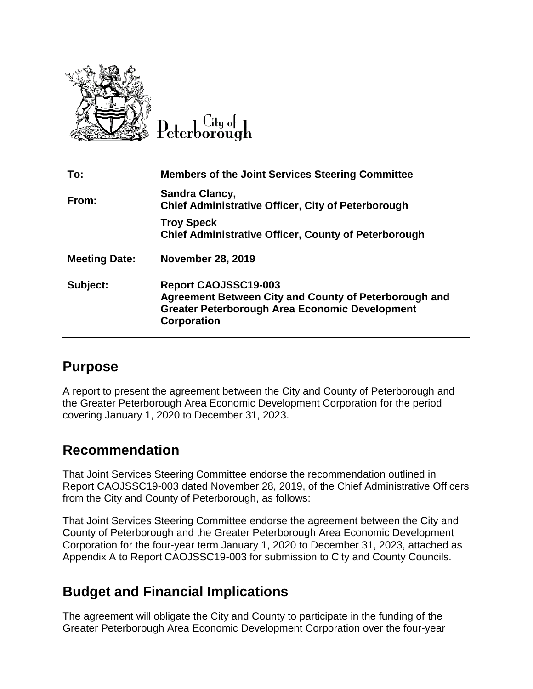

Litu ot

| To:                  | <b>Members of the Joint Services Steering Committee</b>                                                                                                      |
|----------------------|--------------------------------------------------------------------------------------------------------------------------------------------------------------|
| From:                | Sandra Clancy,<br><b>Chief Administrative Officer, City of Peterborough</b>                                                                                  |
|                      | <b>Troy Speck</b><br><b>Chief Administrative Officer, County of Peterborough</b>                                                                             |
| <b>Meeting Date:</b> | <b>November 28, 2019</b>                                                                                                                                     |
| Subject:             | <b>Report CAOJSSC19-003</b><br>Agreement Between City and County of Peterborough and<br><b>Greater Peterborough Area Economic Development</b><br>Corporation |

#### **Purpose**

A report to present the agreement between the City and County of Peterborough and the Greater Peterborough Area Economic Development Corporation for the period covering January 1, 2020 to December 31, 2023.

## **Recommendation**

That Joint Services Steering Committee endorse the recommendation outlined in Report CAOJSSC19-003 dated November 28, 2019, of the Chief Administrative Officers from the City and County of Peterborough, as follows:

That Joint Services Steering Committee endorse the agreement between the City and County of Peterborough and the Greater Peterborough Area Economic Development Corporation for the four-year term January 1, 2020 to December 31, 2023, attached as Appendix A to Report CAOJSSC19-003 for submission to City and County Councils.

# **Budget and Financial Implications**

The agreement will obligate the City and County to participate in the funding of the Greater Peterborough Area Economic Development Corporation over the four-year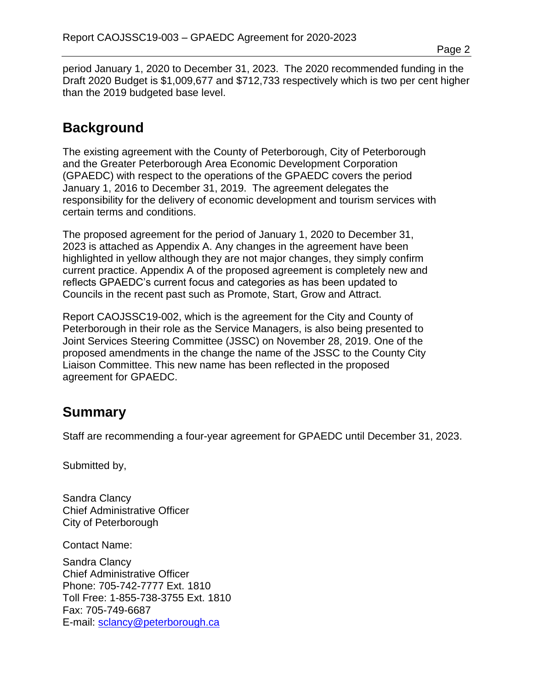period January 1, 2020 to December 31, 2023. The 2020 recommended funding in the Draft 2020 Budget is \$1,009,677 and \$712,733 respectively which is two per cent higher than the 2019 budgeted base level.

### **Background**

The existing agreement with the County of Peterborough, City of Peterborough and the Greater Peterborough Area Economic Development Corporation (GPAEDC) with respect to the operations of the GPAEDC covers the period January 1, 2016 to December 31, 2019. The agreement delegates the responsibility for the delivery of economic development and tourism services with certain terms and conditions.

The proposed agreement for the period of January 1, 2020 to December 31, 2023 is attached as Appendix A. Any changes in the agreement have been highlighted in yellow although they are not major changes, they simply confirm current practice. Appendix A of the proposed agreement is completely new and reflects GPAEDC's current focus and categories as has been updated to Councils in the recent past such as Promote, Start, Grow and Attract.

Report CAOJSSC19-002, which is the agreement for the City and County of Peterborough in their role as the Service Managers, is also being presented to Joint Services Steering Committee (JSSC) on November 28, 2019. One of the proposed amendments in the change the name of the JSSC to the County City Liaison Committee. This new name has been reflected in the proposed agreement for GPAEDC.

## **Summary**

Staff are recommending a four-year agreement for GPAEDC until December 31, 2023.

Submitted by,

Sandra Clancy Chief Administrative Officer City of Peterborough

Contact Name:

Sandra Clancy Chief Administrative Officer Phone: 705-742-7777 Ext. 1810 Toll Free: 1-855-738-3755 Ext. 1810 Fax: 705-749-6687 E-mail: [sclancy@peterborough.ca](mailto:sclancy@peterborough.ca)